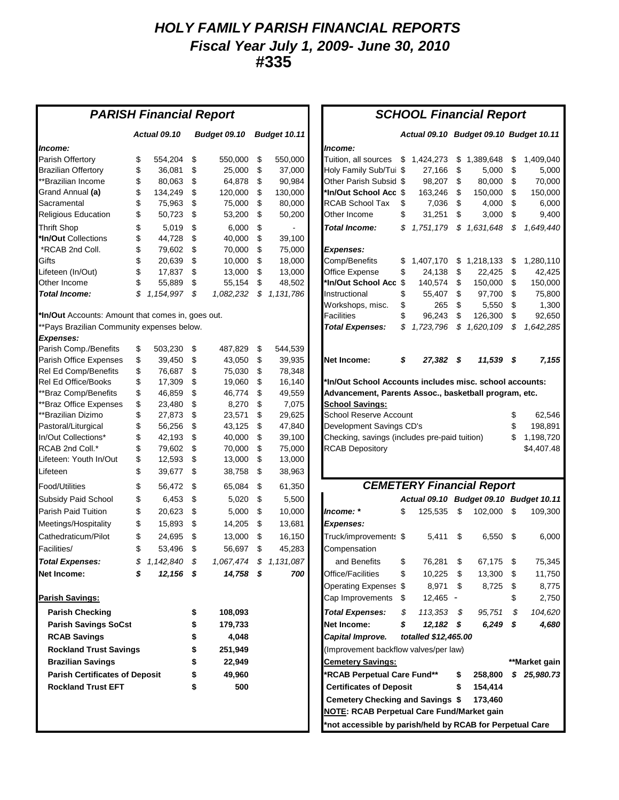### *HOLY FAMILY PARISH FINANCIAL REPORTS Fiscal Year July 1, 2009- June 30, 2010* **#335**

| <b>PARISH Financial Report</b>                    |          |                     |          |                     |          | <b>SCHOOL Financial Report</b> |                                                                                 |  |  |  |
|---------------------------------------------------|----------|---------------------|----------|---------------------|----------|--------------------------------|---------------------------------------------------------------------------------|--|--|--|
|                                                   |          | <b>Actual 09.10</b> |          | <b>Budget 09.10</b> |          | Budget 10.11                   | Actual 09.10 Budget 09.10 Budget 10.11                                          |  |  |  |
| Income:                                           |          |                     |          |                     |          |                                | Income:                                                                         |  |  |  |
| Parish Offertory                                  | \$       | 554,204             | \$       | 550,000             | \$       | 550,000                        | Tuition, all sources<br>\$1,424,273<br>1,389,648<br>1,409,040<br>\$<br>\$       |  |  |  |
| <b>Brazilian Offertory</b>                        | \$       | 36,081              | \$       | 25,000              | \$       | 37,000                         | Holy Family Sub/Tui \$<br>\$<br>27,166<br>\$<br>5,000<br>5,000                  |  |  |  |
| **Brazilian Income                                | \$       | 80,063              | \$       | 64,878              | \$       | 90,984                         | 70,000<br>Other Parish Subsid \$<br>98,207<br>\$<br>80,000<br>\$                |  |  |  |
| Grand Annual <b>(a)</b>                           | \$       | 134,249             | \$       | 120,000             | \$       | 130,000                        | *In/Out School Acc \$<br>150,000<br>163,246<br>\$<br>150,000<br>\$              |  |  |  |
| Sacramental                                       | \$       | 75,963              | \$       | 75,000              | \$       | 80,000                         | <b>RCAB School Tax</b><br>\$<br>7,036<br>\$<br>4,000<br>\$<br>6,000             |  |  |  |
| <b>Religious Education</b>                        | \$       | 50,723              | \$       | 53,200              | \$       | 50,200                         | \$<br>Other Income<br>31,251<br>\$<br>\$<br>9,400<br>3,000                      |  |  |  |
| <b>Thrift Shop</b>                                | \$       | 5,019               | \$       | 6,000               | \$       |                                | <b>Total Income:</b><br>\$<br>1,751,179<br>\$<br>1,631,648<br>\$<br>1,649,440   |  |  |  |
| *In/Out Collections                               | \$       | 44,728              | \$       | 40.000              | \$       | 39,100                         |                                                                                 |  |  |  |
| *RCAB 2nd Coll.                                   | \$       | 79,602              | \$       | 70,000              | \$       | 75,000                         | <b>Expenses:</b>                                                                |  |  |  |
| Gifts                                             | \$       | 20,639              | \$       | 10,000              | \$       | 18,000                         | Comp/Benefits<br>\$<br>1,407,170<br>\$<br>1,218,133<br>1,280,110<br>\$          |  |  |  |
| Lifeteen (In/Out)                                 | \$       | 17,837              | \$       | 13,000              | \$       | 13,000                         | Office Expense<br>\$<br>\$<br>24,138<br>\$<br>22,425<br>42,425                  |  |  |  |
| Other Income                                      | \$       | 55,889              | \$       | 55,154              | \$       | 48,502                         | *In/Out School Acc \$<br>140,574<br>\$<br>150,000<br>\$<br>150,000              |  |  |  |
| <b>Total Income:</b>                              | \$       | 1,154,997           | \$       | 1,082,232           | \$       | 1,131,786                      | \$<br>Instructional<br>55,407<br>\$<br>97,700<br>\$<br>75,800                   |  |  |  |
|                                                   |          |                     |          |                     |          |                                | \$<br>Workshops, misc.<br>265<br>\$<br>5,550<br>\$<br>1,300                     |  |  |  |
| *In/Out Accounts: Amount that comes in, goes out. |          |                     |          |                     |          |                                | \$<br><b>Facilities</b><br>96,243<br>\$<br>\$<br>92,650<br>126,300              |  |  |  |
| **Pays Brazilian Community expenses below.        |          |                     |          |                     |          |                                | <b>Total Expenses:</b><br>\$<br>\$<br>1,620,109<br>\$<br>1,642,285<br>1,723,796 |  |  |  |
| <b>Expenses:</b>                                  |          |                     |          |                     |          |                                |                                                                                 |  |  |  |
| Parish Comp./Benefits                             | \$       | 503,230             | \$       | 487.829             | \$       | 544,539                        |                                                                                 |  |  |  |
| Parish Office Expenses                            | \$       | 39,450              | \$       | 43,050              | \$       | 39,935                         | \$<br><b>Net Income:</b><br>27.382 \$<br>11,539 \$<br>7,155                     |  |  |  |
| Rel Ed Comp/Benefits                              | \$       | 76,687              | \$       | 75,030              | \$       | 78,348                         |                                                                                 |  |  |  |
| Rel Ed Office/Books                               | \$       | 17,309              | \$       | 19,060              | \$       | 16,140                         | 'In/Out School Accounts includes misc. school accounts:                         |  |  |  |
| **Braz Comp/Benefits                              | \$       | 46,859              | \$       | 46,774              | \$       | 49,559                         | Advancement, Parents Assoc., basketball program, etc.                           |  |  |  |
| *Braz Office Expenses                             | \$       | 23,480              | \$       | 8,270               | \$       | 7,075                          | <b>School Savings:</b>                                                          |  |  |  |
| **Brazilian Dizimo                                | \$       | 27,873              | \$       | 23,571              | \$       | 29,625                         | <b>School Reserve Account</b><br>\$<br>62,546                                   |  |  |  |
| Pastoral/Liturgical                               | \$       | 56,256              | \$       | 43,125              | \$       | 47,840                         | Development Savings CD's<br>\$<br>198,891                                       |  |  |  |
| In/Out Collections*<br>RCAB 2nd Coll.*            | \$       | 42,193              | \$       | 40,000              | \$       | 39,100                         | Checking, savings (includes pre-paid tuition)<br>\$<br>1,198,720                |  |  |  |
| Lifeteen: Youth In/Out                            | \$<br>\$ | 79,602<br>12,593    | \$<br>\$ | 70,000              | \$<br>\$ | 75,000                         | <b>RCAB Depository</b><br>\$4,407.48                                            |  |  |  |
| Lifeteen                                          | \$       |                     | \$       | 13,000              |          | 13,000                         |                                                                                 |  |  |  |
|                                                   |          | 39,677              |          | 38,758              | \$       | 38,963                         |                                                                                 |  |  |  |
| Food/Utilities                                    | \$       | 56,472              | \$       | 65,084              | \$       | 61,350                         | <b>CEMETERY Financial Report</b>                                                |  |  |  |
| Subsidy Paid School                               | \$       | 6,453               | \$       | 5,020               | \$       | 5,500                          | Actual 09.10 Budget 09.10 Budget 10.11                                          |  |  |  |
| Parish Paid Tuition                               | \$       | 20,623              | \$       | 5,000               | \$       | 10,000                         | \$<br>Income: *<br>\$<br>125,535<br>102,000<br>\$<br>109,300                    |  |  |  |
| Meetings/Hospitality                              | \$       | 15,893              | \$       | 14,205              | \$       | 13,681                         | <b>Expenses:</b>                                                                |  |  |  |
| Cathedraticum/Pilot                               | \$       | 24,695              | \$       | 13,000              | \$       | 16,150                         | Truck/improvements \$<br>\$<br>6,000<br>5,411<br>6,550<br>\$                    |  |  |  |
| Facilities/                                       | \$       | 53,496              | \$       | 56,697              | \$       | 45,283                         | Compensation                                                                    |  |  |  |
| <b>Total Expenses:</b>                            |          | \$1,142,840         | \$       |                     |          | 1,067,474 \$ 1,131,087         | \$<br>76,281<br>and Benefits<br>\$<br>67,175 \$<br>75,345                       |  |  |  |
| Net Income:                                       | \$       | $12,156$ \$         |          | $14,758$ \$         |          | 700                            | Office/Facilities<br>10,225<br>13,300<br>11,750<br>\$<br>\$<br>\$               |  |  |  |
|                                                   |          |                     |          |                     |          |                                | 8,971<br>Operating Expenses \$<br>8,725<br>8,775<br>\$<br>\$                    |  |  |  |
| <b>Parish Savings:</b>                            |          |                     |          |                     |          |                                | Cap Improvements \$<br>$12,465 -$<br>\$<br>2,750                                |  |  |  |
| <b>Parish Checking</b>                            |          |                     | \$       | 108,093             |          |                                | 104,620<br>\$<br>$113,353$ \$<br>95,751<br>\$<br><b>Total Expenses:</b>         |  |  |  |
| <b>Parish Savings SoCst</b>                       |          |                     | \$       | 179,733             |          |                                | 4,680<br>Net Income:<br>$12,182$ \$<br>$6,249$ \$<br>\$                         |  |  |  |
| <b>RCAB Savings</b>                               |          |                     | \$       | 4,048               |          |                                | Capital Improve.<br>totalled \$12,465.00                                        |  |  |  |
| <b>Rockland Trust Savings</b>                     |          |                     | \$       | 251,949             |          |                                | (Improvement backflow valves/per law)                                           |  |  |  |
| <b>Brazilian Savings</b>                          |          |                     | \$       | 22,949              |          |                                | <b>Cemetery Savings:</b><br>**Market gain                                       |  |  |  |
| <b>Parish Certificates of Deposit</b>             |          |                     | \$       | 49,960              |          |                                | *RCAB Perpetual Care Fund**<br>\$25,980.73<br>\$<br>258,800                     |  |  |  |
| <b>Rockland Trust EFT</b>                         |          |                     | \$       | 500                 |          |                                | <b>Certificates of Deposit</b><br>\$<br>154,414                                 |  |  |  |
|                                                   |          |                     |          |                     |          |                                | Cemetery Checking and Savings \$<br>173,460                                     |  |  |  |
|                                                   |          |                     |          |                     |          |                                | <b>NOTE: RCAB Perpetual Care Fund/Market gain</b>                               |  |  |  |
|                                                   |          |                     |          |                     |          |                                | *not accessible by parish/held by RCAB for Perpetual Care                       |  |  |  |

#### **HOOL Financial Report**

|                                                                                                                                                                                                                         |                      | Actual 09.10 Budget 09.10 Budget 10.11 |                |                                              |
|-------------------------------------------------------------------------------------------------------------------------------------------------------------------------------------------------------------------------|----------------------|----------------------------------------|----------------|----------------------------------------------|
| Income:                                                                                                                                                                                                                 |                      |                                        |                |                                              |
| Tuition, all sources                                                                                                                                                                                                    | \$<br>1,424,273      | \$<br>1,389,648                        | \$             | 1,409,040                                    |
| Holy Family Sub/Tui                                                                                                                                                                                                     | \$<br>27,166         | \$<br>5,000                            | \$             | 5,000                                        |
| Other Parish Subsid                                                                                                                                                                                                     | \$<br>98,207         | \$<br>80,000                           | \$             | 70,000                                       |
| *In/Out School Acc                                                                                                                                                                                                      | \$<br>163,246        | \$<br>150,000                          | \$             | 150,000                                      |
| RCAB School Tax                                                                                                                                                                                                         | \$<br>7,036          | \$<br>4,000                            | \$             | 6,000                                        |
| Other Income                                                                                                                                                                                                            | \$<br>31,251         | \$<br>3,000                            | \$             | 9,400                                        |
| <b>Total Income:</b>                                                                                                                                                                                                    | \$<br>1,751,179      | \$<br>1,631,648                        | \$             | 1,649,440                                    |
| <b>Expenses:</b>                                                                                                                                                                                                        |                      |                                        |                |                                              |
| Comp/Benefits                                                                                                                                                                                                           | \$<br>1,407,170      | \$<br>1,218,133                        | \$             | 1,280,110                                    |
| Office Expense                                                                                                                                                                                                          | \$<br>24,138         | \$<br>22,425                           | \$             | 42,425                                       |
| *In/Out School Acc                                                                                                                                                                                                      | \$<br>140,574        | \$<br>150,000                          | \$             | 150,000                                      |
| Instructional                                                                                                                                                                                                           | \$<br>55,407         | \$<br>97,700                           | \$             | 75,800                                       |
| Workshops, misc.                                                                                                                                                                                                        | \$<br>265            | \$<br>5,550                            | \$             | 1,300                                        |
| Facilities                                                                                                                                                                                                              | \$<br>96,243         | \$<br>126,300                          | \$             | 92,650                                       |
| <b>Total Expenses:</b>                                                                                                                                                                                                  | \$<br>1,723,796      | \$<br>1,620,109                        | \$             | 1,642,285                                    |
|                                                                                                                                                                                                                         |                      |                                        |                |                                              |
| Net Income:                                                                                                                                                                                                             | \$<br>27,382         | \$<br>11,539                           | \$             | 7,155                                        |
| <b>School Savings:</b>                                                                                                                                                                                                  |                      |                                        |                |                                              |
|                                                                                                                                                                                                                         |                      |                                        | \$<br>\$<br>\$ | 62,546<br>198,891<br>1,198,720<br>\$4,407.48 |
|                                                                                                                                                                                                                         |                      |                                        |                |                                              |
|                                                                                                                                                                                                                         |                      | <b>CEMETERY Financial Report</b>       |                |                                              |
|                                                                                                                                                                                                                         | <b>Actual 09.10</b>  | <b>Budget 09.10</b>                    |                | Budget 10.11                                 |
|                                                                                                                                                                                                                         | \$<br>125,535        | \$<br>102,000                          | \$             | 109,300                                      |
|                                                                                                                                                                                                                         |                      |                                        |                |                                              |
|                                                                                                                                                                                                                         | 5,411                | \$<br>6,550                            | \$             | 6,000                                        |
|                                                                                                                                                                                                                         |                      |                                        |                |                                              |
| School Reserve Account<br>Development Savings CD's<br>Checking, savings (includes pre-paid tuition)<br><b>RCAB Depository</b><br>lncome: *<br><b>Expenses:</b><br>Truck/improvements \$<br>Compensation<br>and Benefits | \$<br>76,281         | \$<br>67,175                           | \$             | 75,345                                       |
|                                                                                                                                                                                                                         | \$<br>10,225         | \$<br>13,300                           | \$             | 11,750                                       |
|                                                                                                                                                                                                                         | 8,971                | \$<br>8,725                            | \$             | 8,775                                        |
|                                                                                                                                                                                                                         | \$<br>12,465         |                                        | \$             | 2,750                                        |
| Office/Facilities<br>Operating Expenses \$<br>Cap Improvements<br><b>Total Expenses:</b>                                                                                                                                | \$<br>113,353        | \$<br>95,751                           | \$             | 104,620                                      |
|                                                                                                                                                                                                                         | \$<br>12,182         | \$<br>6,249                            | \$             | 4,680                                        |
|                                                                                                                                                                                                                         | totalled \$12,465.00 |                                        |                |                                              |
|                                                                                                                                                                                                                         |                      |                                        |                |                                              |
|                                                                                                                                                                                                                         |                      |                                        |                | **Market gain                                |
|                                                                                                                                                                                                                         |                      | \$<br>258,800                          |                | \$25,980.73                                  |
| Net Income:<br>Capital Improve.<br>(Improvement backflow valves/per law)<br><b>Cemetery Savings:</b><br>*RCAB Perpetual Care Fund**<br><b>Certificates of Deposit</b>                                                   |                      | \$<br>154,414                          |                |                                              |
| Cemetery Checking and Savings \$                                                                                                                                                                                        |                      | 173,460                                |                |                                              |
| <b>NOTE: RCAB Perpetual Care Fund/Market gain</b><br>*not accessible by parish/held by RCAB for Perpetual Care                                                                                                          |                      |                                        |                |                                              |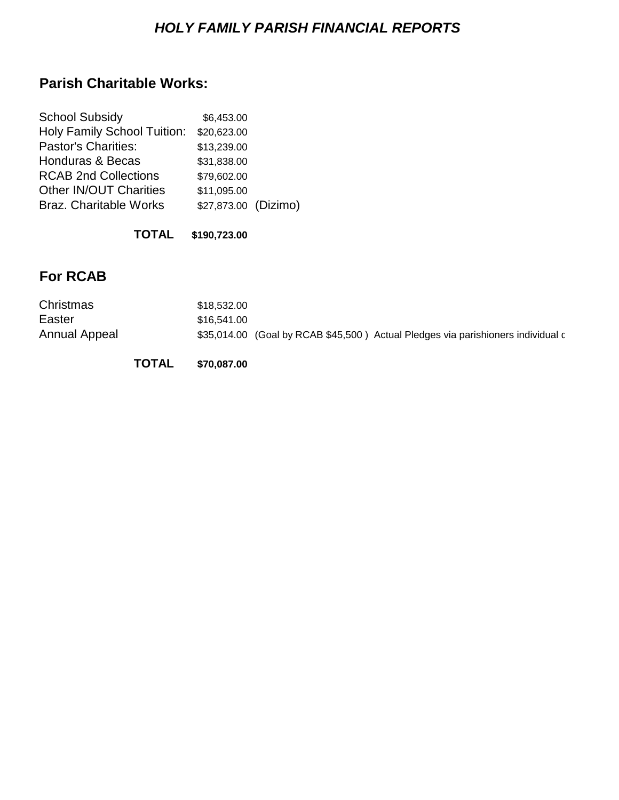# *HOLY FAMILY PARISH FINANCIAL REPORTS*

# **Parish Charitable Works:**

| <b>School Subsidy</b>         | \$6,453.00           |  |
|-------------------------------|----------------------|--|
| Holy Family School Tuition:   | \$20,623.00          |  |
| <b>Pastor's Charities:</b>    | \$13,239.00          |  |
| Honduras & Becas              | \$31,838.00          |  |
| <b>RCAB 2nd Collections</b>   | \$79,602.00          |  |
| Other IN/OUT Charities        | \$11,095.00          |  |
| <b>Braz. Charitable Works</b> | \$27,873.00 (Dizimo) |  |
|                               |                      |  |

#### **TOTAL \$190,723.00**

# **For RCAB**

| Christmas     | \$18,532,00                                                                      |
|---------------|----------------------------------------------------------------------------------|
| Easter        | \$16.541.00                                                                      |
| Annual Appeal | \$35,014.00 (Goal by RCAB \$45,500) Actual Pledges via parishioners individual c |

**TOTAL \$70,087.00**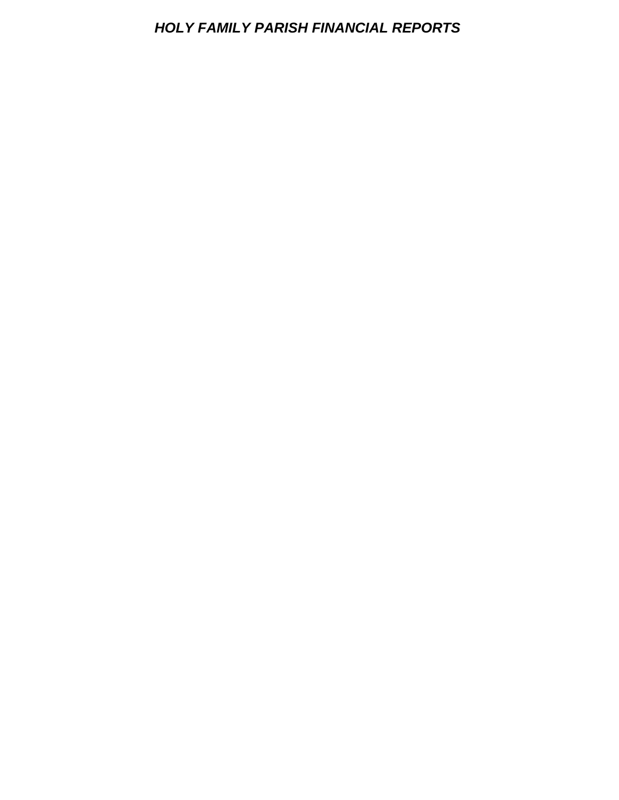### *HOLY FAMILY PARISH FINANCIAL REPORTS*